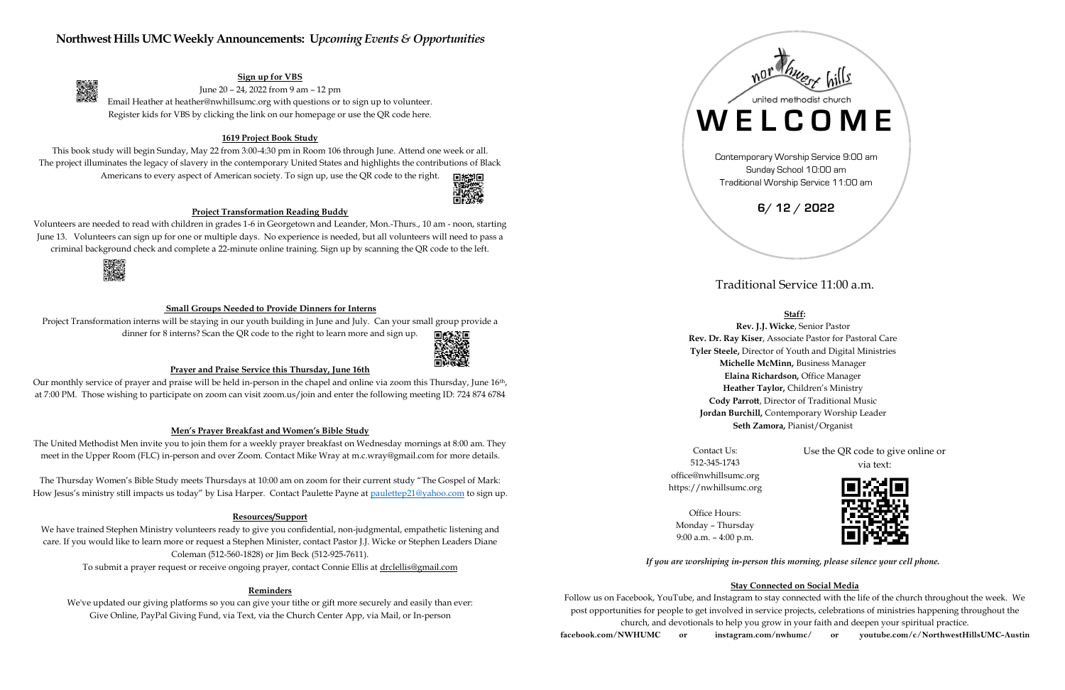# **Northwest Hills UMC Weekly Announcements: U***pcoming Events & Opportunities*

## **Sign up for VBS**

June 20 – 24, 2022 from 9 am – 12 pm

Email Heather at heather@nwhillsumc.org with questions or to sign up to volunteer. Register kids for VBS by clicking the link on our homepage or use the QR code here.

## **1619 Project Book Study**

This book study will begin Sunday, May 22 from 3:00-4:30 pm in Room 106 through June. Attend one week or all. The project illuminates the legacy of slavery in the contemporary United States and highlights the contributions of Black Americans to every aspect of American society. To sign up, use the QR code to the right.



Project Transformation interns will be staying in our youth building in June and July. Can your small group provide a dinner for 8 interns? Scan the QR code to the right to learn more and sign up. 回顧惑回



### **Project Transformation Reading Buddy**

Our monthly service of prayer and praise will be held in-person in the chapel and online via zoom this Thursday, June 16<sup>th</sup>, at 7:00 PM. Those wishing to participate on zoom can visit zoom.us/join and enter the following meeting ID: 724 874 6784

Volunteers are needed to read with children in grades 1-6 in Georgetown and Leander, Mon.-Thurs., 10 am - noon, starting June 13. Volunteers can sign up for one or multiple days. No experience is needed, but all volunteers will need to pass a criminal background check and complete a 22-minute online training. Sign up by scanning the QR code to the left.



大学のことをすることをする。

The Thursday Women's Bible Study meets Thursdays at 10:00 am on zoom for their current study "The Gospel of Mark: How Jesus's ministry still impacts us today" by Lisa Harper. Contact Paulette Payne at [paulettep21@yahoo.com](mailto:paulettep21@yahoo.com) to sign up.

## **Small Groups Needed to Provide Dinners for Interns**

We have trained Stephen Ministry volunteers ready to give you confidential, non-judgmental, empathetic listening and care. If you would like to learn more or request a Stephen Minister, contact Pastor J.J. Wicke or Stephen Leaders Diane Coleman (512-560-1828) or Jim Beck (512-925-7611).

## **Prayer and Praise Service this Thursday, June 16th**

### **Men's Prayer Breakfast and Women's Bible Study**

The United Methodist Men invite you to join them for a weekly prayer breakfast on Wednesday mornings at 8:00 am. They meet in the Upper Room (FLC) in-person and over Zoom. Contact Mike Wray at m.c.wray@gmail.com for more details.

## **Resources/Support**

To submit a prayer request or receive ongoing prayer, contact Connie Ellis at [drclellis@gmail.com](mailto:drclellis@gmail.com)

### **Reminders**

We've updated our giving platforms so you can give your tithe or gift more securely and easily than ever: Give Online, PayPal Giving Fund, via Text, via the Church Center App, via Mail, or In-person

# Traditional Service 11:00 a.m.

# **Staff:**

**Rev. J.J. Wicke**, Senior Pastor **Rev. Dr. Ray Kiser**, Associate Pastor for Pastoral Care **Tyler Steele,** Director of Youth and Digital Ministries **Michelle McMinn,** Business Manager **Elaina Richardson,** Office Manager **Heather Taylor,** Children's Ministry **Cody Parrott**, Director of Traditional Music **Jordan Burchill,** Contemporary Worship Leader **Seth Zamora,** Pianist/Organist

Contact Us: 512-345-1743 office@nwhillsumc.org https://nwhillsumc.org Use the QR code to give online or via text:



Office Hours: Monday – Thursday 9:00 a.m. – 4:00 p.m.

*If you are worshiping in-person this morning, please silence your cell phone.*

# **Stay Connected on Social Media**

Follow us on Facebook, YouTube, and Instagram to stay connected with the life of the church throughout the week. We post opportunities for people to get involved in service projects, celebrations of ministries happening throughout the church, and devotionals to help you grow in your faith and deepen your spiritual practice. **facebook.com/NWHUMC or instagram.com/nwhumc/ or youtube.com/c/NorthwestHillsUMC-Austin**



Traditional Worship Service 11:00 am

**6/ 12 / 2022**